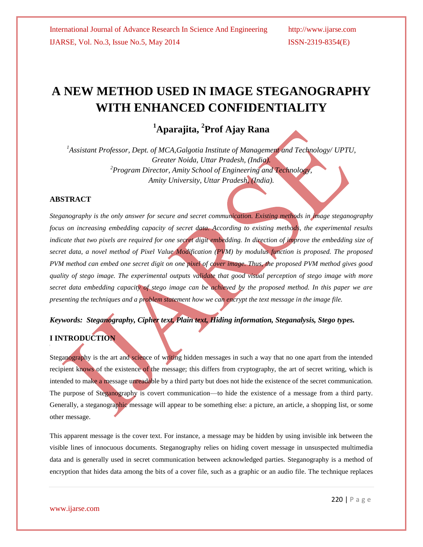# **A NEW METHOD USED IN IMAGE STEGANOGRAPHY WITH ENHANCED CONFIDENTIALITY**

## **<sup>1</sup>Aparajita, <sup>2</sup> Prof Ajay Rana**

*<sup>1</sup>Assistant Professor, Dept. of MCA,Galgotia Institute of Management and Technology/ UPTU, Greater Noida, Uttar Pradesh, (India). <sup>2</sup>Program Director, Amity School of Engineering and Technology, Amity University, Uttar Pradesh, (India).*

### **ABSTRACT**

*Steganography is the only answer for secure and secret communication. Existing methods in image steganography*  focus on increasing embedding capacity of secret data. According to existing methods, the experimental results indicate that two pixels are required for one secret digit embedding. In direction of improve the embedding size of *secret data, a novel method of Pixel Value Modification (PVM) by modulus function is proposed. The proposed PVM method can embed one secret digit on one pixel of cover image. Thus, the proposed PVM method gives good quality of stego image. The experimental outputs validate that good visual perception of stego image with more secret data embedding capacity of stego image can be achieved by the proposed method. In this paper we are presenting the techniques and a problem statement how we can encrypt the text message in the image file.*

### *Keywords: Steganography, Cipher text, Plain text, Hiding information, Steganalysis, Stego types.*

### **I INTRODUCTION**

Steganography is the art and science of writing hidden messages in such a way that no one apart from the intended recipient knows of the existence of the message; this differs from cryptography, the art of secret writing, which is intended to make a message unreadable by a third party but does not hide the existence of the secret communication. The purpose of Steganography is covert communication—to hide the existence of a message from a third party. Generally, a steganographic message will appear to be something else: a picture, an article, a shopping list, or some other message.

This apparent message is the cover text. For instance, a message may be hidden by using invisible ink between the visible lines of innocuous documents. Steganography relies on hiding covert message in unsuspected multimedia data and is generally used in secret communication between acknowledged parties. Steganography is a method of encryption that hides data among the bits of a cover file, such as a graphic or an audio file. The technique replaces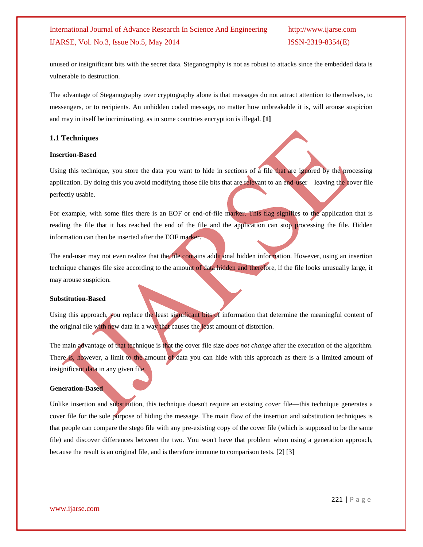### International Journal of Advance Research In Science And Engineering http://www.ijarse.com IJARSE, Vol. No.3, Issue No.5, May 2014 ISSN-2319-8354(E)

unused or insignificant bits with the secret data. Steganography is not as robust to attacks since the embedded data is vulnerable to destruction.

The advantage of Steganography over cryptography alone is that messages do not attract attention to themselves, to messengers, or to recipients. An unhidden coded message, no matter how unbreakable it is, will arouse suspicion and may in itself be incriminating, as in some countries encryption is illegal. **[1]**

#### **1.1 Techniques**

#### **Insertion-Based**

Using this technique, you store the data you want to hide in sections of a file that are ignored by the processing application. By doing this you avoid modifying those file bits that are relevant to an end-user—leaving the cover file perfectly usable.

For example, with some files there is an EOF or end-of-file marker. This flag signifies to the application that is reading the file that it has reached the end of the file and the application can stop processing the file. Hidden information can then be inserted after the EOF marker.

The end-user may not even realize that the file contains additional hidden information. However, using an insertion technique changes file size according to the amount of data hidden and therefore, if the file looks unusually large, it may arouse suspicion.

#### **Substitution-Based**

Using this approach, you replace the least significant bits of information that determine the meaningful content of the original file with new data in a way that causes the least amount of distortion.

The main advantage of that technique is that the cover file size *does not change* after the execution of the algorithm. There is, however, a limit to the amount of data you can hide with this approach as there is a limited amount of insignificant data in any given file.

#### **Generation-Based**

Unlike insertion and substitution, this technique doesn't require an existing cover file—this technique generates a cover file for the sole purpose of hiding the message. The main flaw of the insertion and substitution techniques is that people can compare the stego file with any pre-existing copy of the cover file (which is supposed to be the same file) and discover differences between the two. You won't have that problem when using a generation approach, because the result is an original file, and is therefore immune to comparison tests. [2] [3]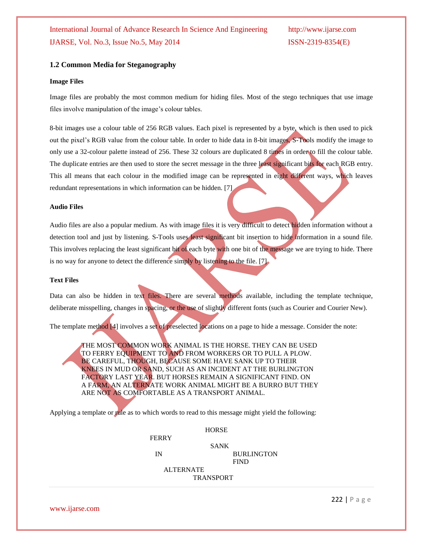#### **1.2 Common Media for Steganography**

#### **Image Files**

Image files are probably the most common medium for hiding files. Most of the stego techniques that use image files involve manipulation of the image's colour tables.

8-bit images use a colour table of 256 RGB values. Each pixel is represented by a byte, which is then used to pick out the pixel's RGB value from the colour table. In order to hide data in 8-bit images, S-Tools modify the image to only use a 32-colour palette instead of 256. These 32 colours are duplicated 8 times in order to fill the colour table. The duplicate entries are then used to store the secret message in the three least significant bits for each RGB entry. This all means that each colour in the modified image can be represented in eight different ways, which leaves redundant representations in which information can be hidden. [7]

#### **Audio Files**

Audio files are also a popular medium. As with image files it is very difficult to detect hidden information without a detection tool and just by listening. S-Tools uses least significant bit insertion to hide information in a sound file. This involves replacing the least significant bit of each byte with one bit of the message we are trying to hide. There is no way for anyone to detect the difference simply by listening to the file. [7]

#### **Text Files**

Data can also be hidden in text files. There are several methods available, including the template technique, deliberate misspelling, changes in spacing, or the use of slightly different fonts (such as Courier and Courier New).

The template method [4] involves a set of preselected locations on a page to hide a message. Consider the note:

THE MOST COMMON WORK ANIMAL IS THE HORSE. THEY CAN BE USED TO FERRY EQUIPMENT TO AND FROM WORKERS OR TO PULL A PLOW. BE CAREFUL, THOUGH, BECAUSE SOME HAVE SANK UP TO THEIR KNEES IN MUD OR SAND, SUCH AS AN INCIDENT AT THE BURLINGTON FACTORY LAST YEAR. BUT HORSES REMAIN A SIGNIFICANT FIND. ON A FARM, AN ALTERNATE WORK ANIMAL MIGHT BE A BURRO BUT THEY ARE NOT AS COMFORTABLE AS A TRANSPORT ANIMAL.

Applying a template or rule as to which words to read to this message might yield the following:

SANK

FERRY

 IN BURLINGTON **FIND** 

> ALTERNATE TRANSPORT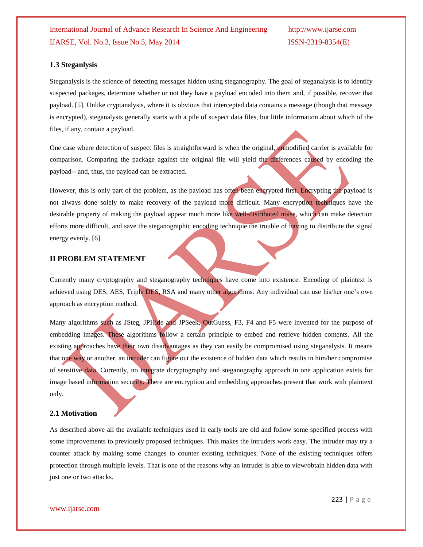#### **1.3 Steganlysis**

Steganalysis is the science of detecting messages hidden using steganography. The goal of steganalysis is to identify suspected packages, determine whether or not they have a payload encoded into them and, if possible, recover that payload. [5]. Unlike cryptanalysis, where it is obvious that intercepted data contains a message (though that message is encrypted), steganalysis generally starts with a pile of suspect data files, but little information about which of the files, if any, contain a payload.

One case where detection of suspect files is straightforward is when the original, unmodified carrier is available for comparison. Comparing the package against the original file will yield the differences caused by encoding the payload-- and, thus, the payload can be extracted.

However, this is only part of the problem, as the payload has often been encrypted first. Encrypting the payload is not always done solely to make recovery of the payload more difficult. Many encryption techniques have the desirable property of making the payload appear much more like well-distributed noise, which can make detection efforts more difficult, and save the steganographic encoding technique the trouble of having to distribute the signal energy evenly. [6]

#### **II PROBLEM STATEMENT**

Currently many cryptography and steganography techniques have come into existence. Encoding of plaintext is achieved using DES, AES, Triple DES, RSA and many other algorithms. Any individual can use his/her one's own approach as encryption method.

Many algorithms such as JSteg, JPHide and JPSeek, OutGuess, F3, F4 and F5 were invented for the purpose of embedding images. These algorithms follow a certain principle to embed and retrieve hidden contents. All the existing approaches have their own disadvantages as they can easily be compromised using steganalysis. It means that one way or another, an intruder can figure out the existence of hidden data which results in him/her compromise of sensitive data. Currently, no integrate dcryptography and steganography approach in one application exists for image based information security. There are encryption and embedding approaches present that work with plaintext only.

#### **2.1 Motivation**

As described above all the available techniques used in early tools are old and follow some specified process with some improvements to previously proposed techniques. This makes the intruders work easy. The intruder may try a counter attack by making some changes to counter existing techniques. None of the existing techniques offers protection through multiple levels. That is one of the reasons why an intruder is able to view/obtain hidden data with just one or two attacks.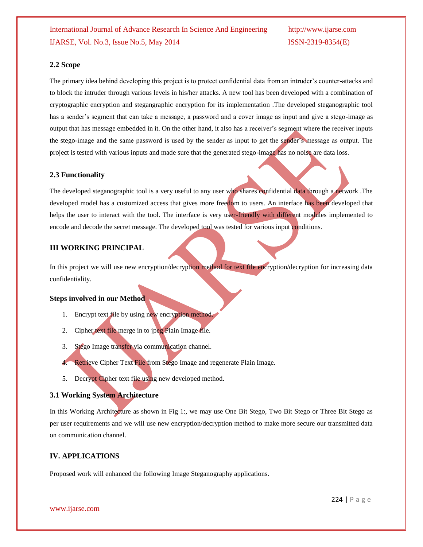#### **2.2 Scope**

The primary idea behind developing this project is to protect confidential data from an intruder's counter-attacks and to block the intruder through various levels in his/her attacks. A new tool has been developed with a combination of cryptographic encryption and stegangraphic encryption for its implementation .The developed steganographic tool has a sender's segment that can take a message, a password and a cover image as input and give a stego-image as output that has message embedded in it. On the other hand, it also has a receiver's segment where the receiver inputs the stego-image and the same password is used by the sender as input to get the sender's message as output. The project is tested with various inputs and made sure that the generated stego-image has no noise are data loss.

### **2.3 Functionality**

The developed steganographic tool is a very useful to any user who shares confidential data through a network .The developed model has a customized access that gives more freedom to users. An interface has been developed that helps the user to interact with the tool. The interface is very user-friendly with different modules implemented to encode and decode the secret message. The developed tool was tested for various input conditions.

#### **III WORKING PRINCIPAL**

In this project we will use new encryption/decryption method for text file encryption/decryption for increasing data confidentiality.

#### **Steps involved in our Method**

- 1. Encrypt text file by using new encryption method.
- 2. Cipher text file merge in to jpeg Plain Image file.
- 3. Stego Image transfer via communication channel.
- 4. Retrieve Cipher Text File from Stego Image and regenerate Plain Image.
- 5. Decrypt Cipher text file using new developed method.

### **3.1 Working System Architecture**

In this Working Architecture as shown in Fig 1:, we may use One Bit Stego, Two Bit Stego or Three Bit Stego as per user requirements and we will use new encryption/decryption method to make more secure our transmitted data on communication channel.

### **IV. APPLICATIONS**

Proposed work will enhanced the following Image Steganography applications.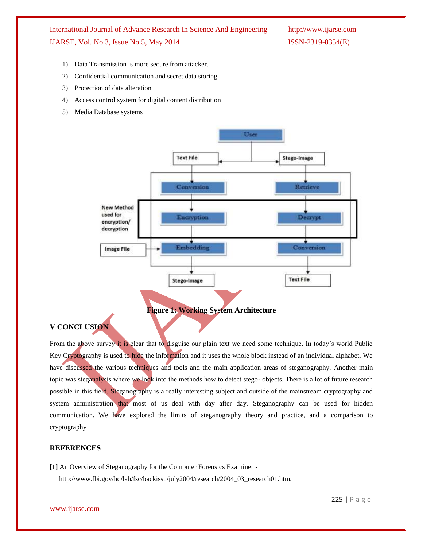International Journal of Advance Research In Science And Engineering http://www.ijarse.com IJARSE, Vol. No.3, Issue No.5, May 2014 ISSN-2319-8354(E)

- 1) Data Transmission is more secure from attacker.
- 2) Confidential communication and secret data storing
- 3) Protection of data alteration
- 4) Access control system for digital content distribution
- 5) Media Database systems





### **V CONCLUSION**

From the above survey it is clear that to disguise our plain text we need some technique. In today's world Public Key Cryptography is used to hide the information and it uses the whole block instead of an individual alphabet. We have discussed the various techniques and tools and the main application areas of steganography. Another main topic was steganalysis where we look into the methods how to detect stego- objects. There is a lot of future research possible in this field. Steganography is a really interesting subject and outside of the mainstream cryptography and system administration that most of us deal with day after day. Steganography can be used for hidden communication. We have explored the limits of steganography theory and practice, and a comparison to cryptography

#### **REFERENCES**

**[1]** An Overview of Steganography for the Computer Forensics Examiner -

http://www.fbi.gov/hq/lab/fsc/backissu/july2004/research/2004\_03\_research01.htm.

www.ijarse.com